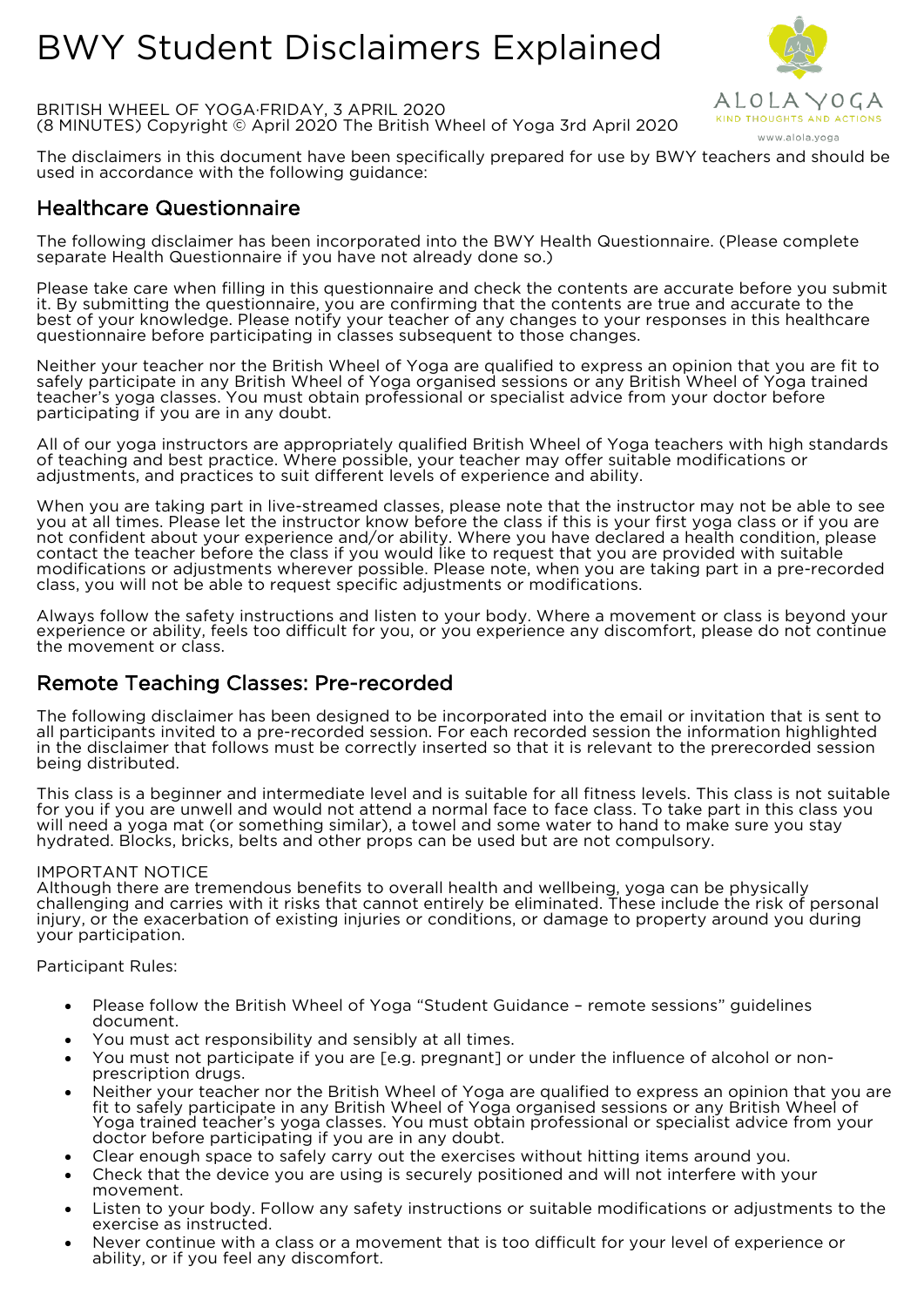# BWY Student Disclaimers Explained



BRITISH WHEEL OF YOGA·FRIDAY, 3 APRIL 2020 (8 MINUTES) Copyright © April 2020 The British Wheel of Yoga 3rd April 2020

The disclaimers in this document have been specifically prepared for use by BWY teachers and should be used in accordance with the following guidance:

## Healthcare Questionnaire

The following disclaimer has been incorporated into the BWY Health Questionnaire. (Please complete separate Health Questionnaire if you have not already done so.)

Please take care when filling in this questionnaire and check the contents are accurate before you submit it. By submitting the questionnaire, you are confirming that the contents are true and accurate to the best of your knowledge. Please notify your teacher of any changes to your responses in this healthcare questionnaire before participating in classes subsequent to those changes.

Neither your teacher nor the British Wheel of Yoga are qualified to express an opinion that you are fit to safely participate in any British Wheel of Yoga organised sessions or any British Wheel of Yoga trained teacher's yoga classes. You must obtain professional or specialist advice from your doctor before participating if you are in any doubt.

All of our yoga instructors are appropriately qualified British Wheel of Yoga teachers with high standards of teaching and best practice. Where possible, your teacher may offer suitable modifications or adjustments, and practices to suit different levels of experience and ability.

When you are taking part in live-streamed classes, please note that the instructor may not be able to see you at all times. Please let the instructor know before the class if this is your first yoga class or if you are not confident about your experience and/or ability. Where you have declared a health condition, please contact the teacher before the class if you would like to request that you are provided with suitable modifications or adjustments wherever possible. Please note, when you are taking part in a pre-recorded class, you will not be able to request specific adjustments or modifications.

Always follow the safety instructions and listen to your body. Where a movement or class is beyond your experience or ability, feels too difficult for you, or you experience any discomfort, please do not continue the movement or class.

## Remote Teaching Classes: Pre-recorded

The following disclaimer has been designed to be incorporated into the email or invitation that is sent to all participants invited to a pre-recorded session. For each recorded session the information highlighted in the disclaimer that follows must be correctly inserted so that it is relevant to the prerecorded session being distributed.

This class is a beginner and intermediate level and is suitable for all fitness levels. This class is not suitable for you if you are unwell and would not attend a normal face to face class. To take part in this class you will need a yoga mat (or something similar), a towel and some water to hand to make sure you stay hydrated. Blocks, bricks, belts and other props can be used but are not compulsory.

### IMPORTANT NOTICE

Although there are tremendous benefits to overall health and wellbeing, yoga can be physically challenging and carries with it risks that cannot entirely be eliminated. These include the risk of personal injury, or the exacerbation of existing injuries or conditions, or damage to property around you during your participation.

### Participant Rules:

- Please follow the British Wheel of Yoga "Student Guidance remote sessions" guidelines document.
- You must act responsibility and sensibly at all times.
- You must not participate if you are [e.g. pregnant] or under the influence of alcohol or non- prescription drugs.
- Neither your teacher nor the British Wheel of Yoga are qualified to express an opinion that you are fit to safely participate in any British Wheel of Yoga organised sessions or any British Wheel of Yoga trained teacher's yoga classes. You must obtain professional or specialist advice from your doctor before participating if you are in any doubt.
- Clear enough space to safely carry out the exercises without hitting items around you.
- Check that the device you are using is securely positioned and will not interfere with your movement.
- Listen to your body. Follow any safety instructions or suitable modifications or adjustments to the exercise as instructed.
- Never continue with a class or a movement that is too difficult for your level of experience or ability, or if you feel any discomfort.